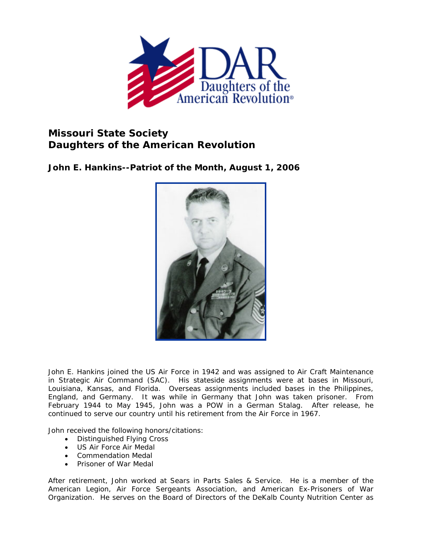

## **Missouri State Society Daughters of the American Revolution**

**John E. Hankins--Patriot of the Month, August 1, 2006** 



John E. Hankins joined the US Air Force in 1942 and was assigned to Air Craft Maintenance in Strategic Air Command (SAC). His stateside assignments were at bases in Missouri, Louisiana, Kansas, and Florida. Overseas assignments included bases in the Philippines, England, and Germany. It was while in Germany that John was taken prisoner. From February 1944 to May 1945, John was a POW in a German Stalag. After release, he continued to serve our country until his retirement from the Air Force in 1967.

John received the following honors/citations:

- Distinguished Flying Cross
- US Air Force Air Medal
- Commendation Medal
- Prisoner of War Medal

After retirement, John worked at Sears in Parts Sales & Service. He is a member of the American Legion, Air Force Sergeants Association, and American Ex-Prisoners of War Organization. He serves on the Board of Directors of the DeKalb County Nutrition Center as